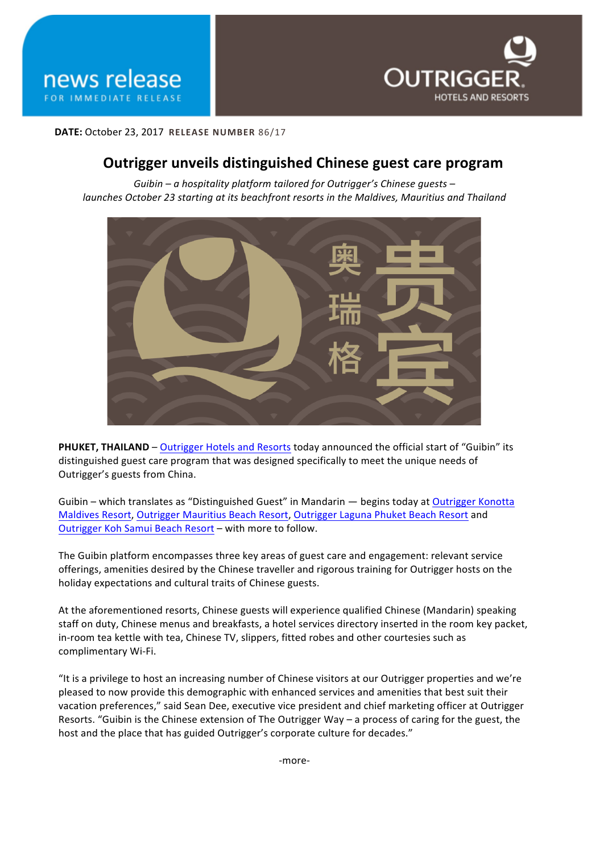



**DATE:** October 23, 2017 **RELEASE NUMBER** 86/17

## **Outrigger unveils distinguished Chinese guest care program**

Guibin – a hospitality platform tailored for Outrigger's Chinese quests – *launches October 23 starting at its beachfront resorts in the Maldives, Mauritius and Thailand* 



**PHUKET, THAILAND** – Outrigger Hotels and Resorts today announced the official start of "Guibin" its distinguished guest care program that was designed specifically to meet the unique needs of Outrigger's guests from China.

Guibin – which translates as "Distinguished Guest" in Mandarin — begins today at Outrigger Konotta Maldives Resort, Outrigger Mauritius Beach Resort, Outrigger Laguna Phuket Beach Resort and Outrigger Koh Samui Beach Resort – with more to follow.

The Guibin platform encompasses three key areas of guest care and engagement: relevant service offerings, amenities desired by the Chinese traveller and rigorous training for Outrigger hosts on the holiday expectations and cultural traits of Chinese guests.

At the aforementioned resorts, Chinese guests will experience qualified Chinese (Mandarin) speaking staff on duty, Chinese menus and breakfasts, a hotel services directory inserted in the room key packet, in-room tea kettle with tea, Chinese TV, slippers, fitted robes and other courtesies such as complimentary Wi-Fi.

"It is a privilege to host an increasing number of Chinese visitors at our Outrigger properties and we're pleased to now provide this demographic with enhanced services and amenities that best suit their vacation preferences," said Sean Dee, executive vice president and chief marketing officer at Outrigger Resorts. "Guibin is the Chinese extension of The Outrigger Way – a process of caring for the guest, the host and the place that has guided Outrigger's corporate culture for decades."